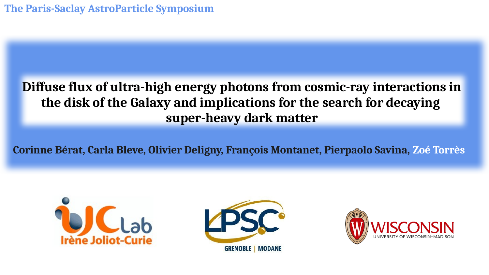**The Paris-Saclay AstroParticle Symposium** 

## **Diffuse flux of ultra-high energy photons from cosmic-ray interactions in the disk of the Galaxy and implications for the search for decaying super-heavy dark matter**

**Corinne Bérat, Carla Bleve, Olivier Deligny, François Montanet, Pierpaolo Savina, Zoé Torrès**





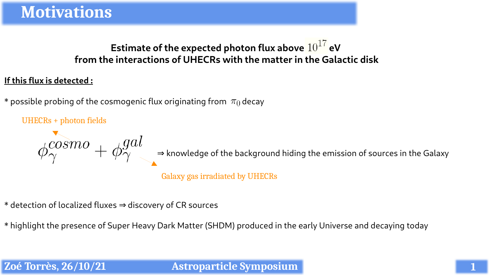## **Estimate of the expected photon flux above**  $10^{17}$  **eV from the interactions of UHECRs with the matter in the Galactic disk**

#### **If this flux is detected :**

\* possible probing of the cosmogenic flux originating from  $\pi_0$  decay

UHECRs + photon fields

 $\phi^{cosmo}_\gamma + \phi^{gal}_\gamma$   $\Rightarrow$  knowledge of the background hiding the emission of sources in the Galaxy

Galaxy gas irradiated by UHECRs

\* detection of localized fluxes ⇒ discovery of CR sources

\* highlight the presence of Super Heavy Dark Matter (SHDM) produced in the early Universe and decaying today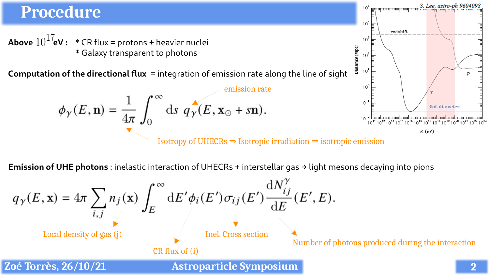#### S. Lee. astro-ph 9604098 **Procedure**  $10<sup>4</sup>$ redshift **Above**  $10^{17}$ **eV :** \* CR flux = protons + heavier nuclei  $10<sup>1</sup>$ Distance (Mpc) \* Galaxy transparent to photons  $10^3$ 10 **Computation of the directional flux** = integration of emission rate along the line of sight  $\boldsymbol{p}$  $10<sup>o</sup>$  $\phi_{\gamma}(E, \mathbf{n}) = \frac{1}{4\pi} \int_0^{\infty} ds \, q_{\gamma}(E, \mathbf{x}_{\odot} + s\mathbf{n}).$  $10<sup>-</sup>$ **Gal.** diameter ا استنباست استنباست استنباست استنباست استنباست استنباست استنباست.<br>2<sup>11</sup> 10<sup>12</sup> 10<sup>13</sup> 10<sup>14</sup> 10<sup>15</sup> 10<sup>16</sup> 10<sup>17</sup> 10<sup>18</sup> 10<sup>19</sup> 10<sup>20</sup> 10<sup>21</sup> 10<sup>22</sup> 10<sup>23</sup>  $10^{11}$  $E$  (eV)

Isotropy of UHECRs  $\Rightarrow$  Isotropic irradiation  $\Rightarrow$  isotropic emission

**Emission of UHE photons**: inelastic interaction of UHECRs + interstellar gas  $\rightarrow$  light mesons decaying into pions

$$
q_{\gamma}(E, \mathbf{x}) = 4\pi \sum_{i,j} n_j(\mathbf{x}) \int_{E}^{\infty} dE' \phi_i(E') \sigma_{ij}(E') \frac{dN_{ij}^{\gamma}}{dE}(E', E).
$$
  
\nLocal density of gas (j)  
\nZoé Torrès, 26/10/21  
\n**2**  
\nLog Torrès, 26/10/21  
\n**Exercise** Sympositing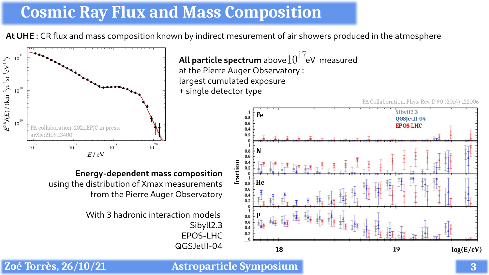## **Cosmic Ray Flux and Mass Composition**

**At UHE** : CR flux and mass composition known by indirect mesurement of air showers produced in the atmosphere



**Energy-dependent mass composition** using the distribution of Xmax measurements from the Pierre Auger Observatory

> With 3 hadronic interaction models Sibyll2.3 EPOS-LHC QGSJetII-04

**All particle spectrum** above  $10^{17}$ eV measured at the Pierre Auger Observatory : largest cumulated exposure + single detector type

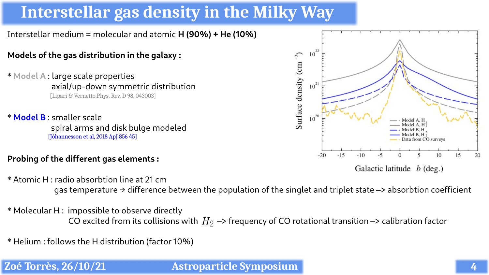# **Interstellar gas density in the Milky Way**

Interstellar medium = molecular and atomic **H (90%) + He (10%)**

#### **Models of the gas distribution in the galaxy :**

\* **Model A** : large scale properties axial/up-down symmetric distribution **[**Lipari & Vernetto,Phys. Rev. D 98, 043003]

\* **Model B** : smaller scale spiral arms and disk bulge modeled [Jóhannesson et al, 2018 ApJ 856 45]

#### **Probing of the different gas elements :**



Galactic latitude  $b$  (deg.)

\* Atomic H : radio absorbtion line at 21 cm gas temperature  $\rightarrow$  difference between the population of the singlet and triplet state  $\rightarrow$  absorbtion coefficient

\* Molecular H : impossible to observe directly CO excited from its collisions with  $H_2 \rightarrow$  frequency of CO rotational transition  $\rightarrow$  calibration factor

\* Helium : follows the H distribution (factor 10%)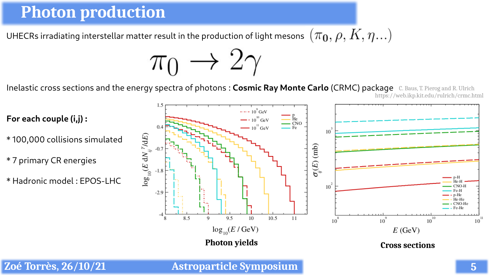## **Photon production**

UHECRs irradiating interstellar matter result in the production of light mesons  $\ (\pi_{\mathbf{0}}, \rho, K, \eta ...)$ 

 $\pi_0 \rightarrow 2\gamma$ 

Inelastic cross sections and the energy spectra of photons : **Cosmic Ray Monte Carlo** (CRMC) package C. Baus, T. Pierog and R. Ulrich https://web.ikp.kit.edu/rulrich/crmc.html

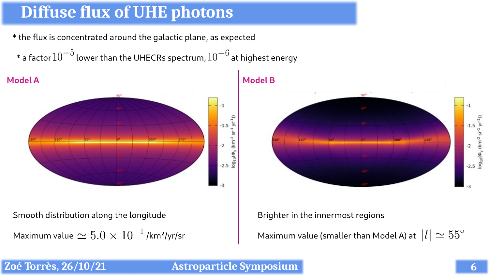# **Diffuse flux of UHE photons**

\* the flux is concentrated around the galactic plane, as expected

 $^*$  a factor  $10^{-5}$  lower than the UHECRs spectrum,  $10^{-6}$  at highest energy



Smooth distribution along the longitude

Maximum value  $\simeq 5.0 \times 10^{-1}$  /km<sup>2</sup>/yr/sr

**Model B**



Brighter in the innermost regions

Maximum value (smaller than Model A) at  $\;|l|\simeq 55^\circ$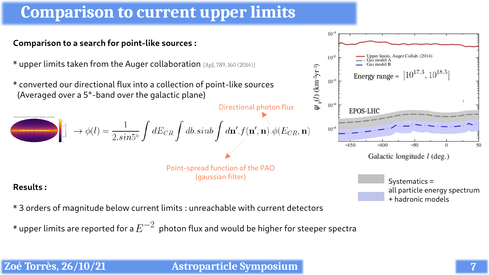# **Comparison to current upper limits**

#### **Comparison to a search for point-like sources :**

\* upper limits taken from the Auger collaboration [ApJ, 789, 160 (2014)]

\* converted our directional flux into a collection of point-like sources (Averaged over a 5°-band over the galactic plane)

Directional photon flux  $\int_{\frac{a}{\epsilon}^{\frac{1}{2}}}^{\frac{a}{\epsilon}^{\frac{1}{2}}} \to \phi(l) = \frac{1}{2.\sin^{5}} \int dE_{CR} \int db.\sinb\int d{\bf n}'.f({\bf n}',{\bf n}).\phi(E_{CR},{\bf n})$ 

> Point-spread function of the PAO (gaussian filter)

#### **Results :**

\* 3 orders of magnitude below current limits : unreachable with current detectors

 $\,^*$  upper limits are reported for a  $E^{-2}\,$  photon flux and would be higher for steeper spectra





Systematics =

+ hadronic models

all particle energy spectrum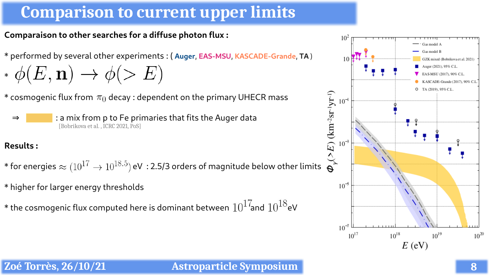# **Comparison to current upper limits**

**Comparaison to other searches for a diffuse photon flux :**

- \* performed by several other experiments : ( **Auger**, **EAS-MSU**, **KASCADE-Grande**, **TA** )
- \*  $\phi(E, \mathbf{n}) \to \phi(>E)$
- \* cosmogenic flux from  $\pi_0$  decay : dependent on the primary UHECR mass
	- ⇒ : a mix from p to Fe primaries that fits the Auger data [Bobrikova et al., ICRC 2021, PoS]

### **Results :**

\* for energies  $\approx (10^{17} \rightarrow 10^{18.5})$  eV : 2.5/3 orders of magnitude below other limits  $\overrightarrow{Q}$ 

\* higher for larger energy thresholds

 $\,^*$  the cosmogenic flux computed here is dominant between  $\,10^{17}$ and  $\,10^{18}$ eV

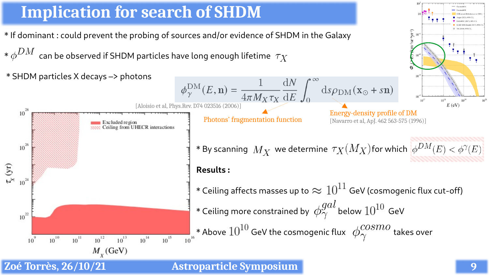## **Implication for search of SHDM**

- \* If dominant : could prevent the probing of sources and/or evidence of SHDM in the Galaxy
- $*\phi^{DM}$  can be observed if SHDM particles have long enough lifetime  $\tau_X$



### **Zoé Torrès, 26/10/21 Astroparticle Symposium**

 $\mathbf{v}_1$